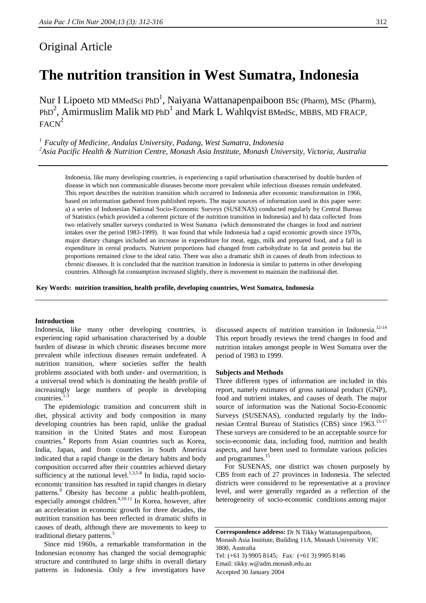# Original Article

# **The nutrition transition in West Sumatra, Indonesia**

Nur I Lipoeto MD MMedSci PhD<sup>1</sup>, Naiyana Wattanapenpaiboon BSc (Pharm), MSc (Pharm),  $PhD<sup>2</sup>$ , Amirmuslim Malik MD PhD<sup>1</sup> and Mark L Wahlqvist BMedSc, MBBS, MD FRACP,  $FACN<sup>2</sup>$ 

*1 Faculty of Medicine, Andalas University, Padang, West Sumatra, Indonesia 2 Asia Pacific Health & Nutrition Centre, Monash Asia Institute, Monash University, Victoria, Australia*

Indonesia, like many developing countries, is experiencing a rapid urbanisation characterised by double burden of disease in which non communicable diseases become more prevalent while infectious diseases remain undefeated. This report describes the nutrition transition which occurred to Indonesia after economic transformation in 1966, based on information gathered from published reports. The major sources of information used in this paper were: a) a series of Indonesian National Socio-Economic Surveys (SUSENAS) conducted regularly by Central Bureau of Statistics (which provided a coherent picture of the nutrition transition in Indonesia) and b) data collected from two relatively smaller surveys conducted in West Sumatra (which demonstrated the changes in food and nutrient intakes over the period 1983-1999). It was found that while Indonesia had a rapid economic growth since 1970s, major dietary changes included an increase in expenditure for meat, eggs, milk and prepared food, and a fall in expenditure in cereal products. Nutrient proportions had changed from carbohydrate to fat and protein but the proportions remained close to the ideal ratio. There was also a dramatic shift in causes of death from infectious to chronic diseases. It is concluded that the nutrition transition in Indonesia is similar to patterns in other developing countries. Although fat consumption increased slightly, there is movement to maintain the traditional diet.

**Key Words: nutrition transition, health profile, developing countries, West Sumatra, Indonesia**

#### **Introduction**

Indonesia, like many other developing countries, is experiencing rapid urbanisation characterised by a double burden of disease in which chronic diseases become more prevalent while infectious diseases remain undefeated. A nutrition transition, where societies suffer the health problems associated with both under- and overnutrition, is a universal trend which is dominating the health profile of increasingly large numbers of people in developing countries.<sup>1-3</sup>

 The epidemiologic transition and concurrent shift in diet, physical activity and body composition in many developing countries has been rapid, unlike the gradual transition in the United States and most European countries.<sup>4</sup> Reports from Asian countries such as Korea, India, Japan, and from countries in South America indicated that a rapid change in the dietary habits and body composition occurred after their countries achieved dietary sufficiency at the national level. $1,3,5-8$  In India, rapid socioeconomic transition has resulted in rapid changes in dietary patterns.<sup>9</sup> Obesity has become a public health-problem, especially amongst children.<sup>4,10-11</sup> In Korea, however, after an acceleration in economic growth for three decades, the nutrition transition has been reflected in dramatic shifts in causes of death, although there are movements to keep to traditional dietary patterns.<sup>5</sup>

 Since mid 1960s, a remarkable transformation in the Indonesian economy has changed the social demographic structure and contributed to large shifts in overall dietary patterns in Indonesia. Only a few investigators have

discussed aspects of nutrition transition in Indonesia.<sup>12-14</sup> This report broadly reviews the trend changes in food and nutrition intakes amongst people in West Sumatra over the period of 1983 to 1999.

#### **Subjects and Methods**

Three different types of information are included in this report, namely estimates of gross national product (GNP), food and nutrient intakes, and causes of death. The major source of information was the National Socio-Economic Surveys (SUSENAS), conducted regularly by the Indonesian Central Bureau of Statistics (CBS) since 1963.<sup>15-17</sup> These surveys are considered to be an acceptable source for socio-economic data, including food, nutrition and health aspects, and have been used to formulate various policies and programmes.<sup>15</sup>

 For SUSENAS, one district was chosen purposely by CBS from each of 27 provinces in Indonesia. The selected districts were considered to be representative at a province level, and were generally regarded as a reflection of the heterogeneity of socio-economic conditions among major

**Correspondence address:** Dr N Tikky Wattanapenpaiboon, Monash Asia Institute, Building 11A, Monash University VIC 3800, Australia Tel: (+61 3) 9905 8145; Fax: (+61 3) 9905 8146 Email: tikky.w@adm.monash.edu.au Accepted 30 January 2004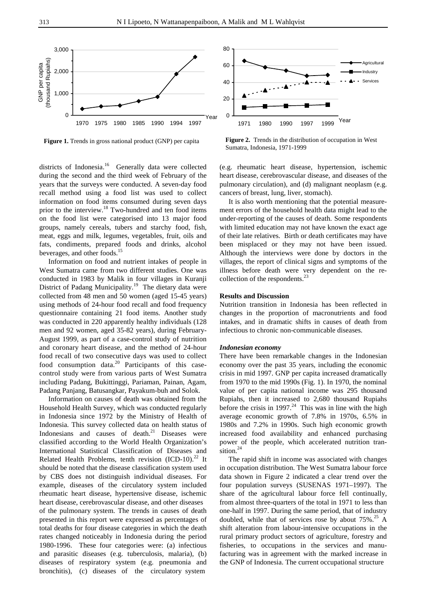

**Figure 1.** Trends in gross national product (GNP) per capita **Figure 2.** Trends in the distribution of occupation in West Sumatra, Indonesia, 1971-1999

**Agricultura** Industry Services

1971 1980 1990 1997 1999 Year

districts of Indonesia.<sup>16</sup> Generally data were collected during the second and the third week of February of the years that the surveys were conducted. A seven-day food recall method using a food list was used to collect information on food items consumed during seven days prior to the interview.<sup>18</sup> Two-hundred and ten food items on the food list were categorised into 13 major food groups, namely cereals, tubers and starchy food, fish, meat, eggs and milk, legumes, vegetables, fruit, oils and fats, condiments, prepared foods and drinks, alcohol beverages, and other foods.<sup>15</sup>

 Information on food and nutrient intakes of people in West Sumatra came from two different studies. One was conducted in 1983 by Malik in four villages in Kuranji District of Padang Municipality.<sup>19</sup> The dietary data were collected from 48 men and 50 women (aged 15-45 years) using methods of 24-hour food recall and food frequency questionnaire containing 21 food items. Another study was conducted in 220 apparently healthy individuals (128 men and 92 women, aged 35-82 years), during February-August 1999, as part of a case-control study of nutrition and coronary heart disease, and the method of 24-hour food recall of two consecutive days was used to collect food consumption data.<sup>20</sup> Participants of this casecontrol study were from various parts of West Sumatra including Padang, Bukittinggi, Pariaman, Painan, Agam, Padang Panjang, Batusangkar, Payakum-buh and Solok.

 Information on causes of death was obtained from the Household Health Survey, which was conducted regularly in Indonesia since 1972 by the Ministry of Health of Indonesia. This survey collected data on health status of Indonesians and causes of death.<sup>21</sup> Diseases were classified according to the World Health Organization's International Statistical Classification of Diseases and Related Health Problems, tenth revision  $(ICD-10).^{22}$  It should be noted that the disease classification system used by CBS does not distinguish individual diseases. For example, diseases of the circulatory system included rheumatic heart disease, hypertensive disease, ischemic heart disease, cerebrovascular disease, and other diseases of the pulmonary system. The trends in causes of death presented in this report were expressed as percentages of total deaths for four disease categories in which the death rates changed noticeably in Indonesia during the period 1980-1996. These four categories were: (a) infectious and parasitic diseases (e.g. tuberculosis, malaria), (b) diseases of respiratory system (e.g. pneumonia and bronchitis), (c) diseases of the circulatory system

(e.g. rheumatic heart disease, hypertension, ischemic heart disease, cerebrovascular disease, and diseases of the pulmonary circulation), and (d) malignant neoplasm (e.g. cancers of breast, lung, liver, stomach).

 It is also worth mentioning that the potential measurement errors of the household health data might lead to the under-reporting of the causes of death. Some respondents with limited education may not have known the exact age of their late relatives. Birth or death certificates may have been misplaced or they may not have been issued. Although the interviews were done by doctors in the villages, the report of clinical signs and symptoms of the illness before death were very dependent on the recollection of the respondents.<sup>23</sup>

#### **Results and Discussion**

Nutrition transition in Indonesia has been reflected in changes in the proportion of macronutrients and food intakes, and in dramatic shifts in causes of death from infectious to chronic non-communicable diseases.

### *Indonesian economy*

There have been remarkable changes in the Indonesian economy over the past 35 years, including the economic crisis in mid 1997. GNP per capita increased dramatically from 1970 to the mid 1990s (Fig. 1). In 1970, the nominal value of per capita national income was 295 thousand Rupiahs, then it increased to 2,680 thousand Rupiahs before the crisis in 1997.<sup>24</sup> This was in line with the high average economic growth of 7.8% in 1970s, 6.5% in 1980s and 7.2% in 1990s. Such high economic growth increased food availability and enhanced purchasing power of the people, which accelerated nutrition transition.<sup>24</sup>

 The rapid shift in income was associated with changes in occupation distribution. The West Sumatra labour force data shown in Figure 2 indicated a clear trend over the four population surveys (SUSENAS 1971–1997). The share of the agricultural labour force fell continually, from almost three-quarters of the total in 1971 to less than one-half in 1997. During the same period, that of industry doubled, while that of services rose by about  $75\%^{25}$  A shift alteration from labour-intensive occupations in the rural primary product sectors of agriculture, forestry and fisheries, to occupations in the services and manufacturing was in agreement with the marked increase in the GNP of Indonesia. The current occupational structure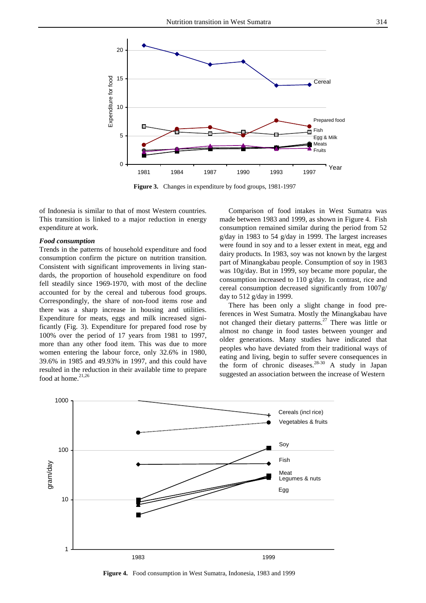

**Figure 3.** Changes in expenditure by food groups, 1981-1997

of Indonesia is similar to that of most Western countries. This transition is linked to a major reduction in energy expenditure at work.

## *Food consumption*

Trends in the patterns of household expenditure and food consumption confirm the picture on nutrition transition. Consistent with significant improvements in living standards, the proportion of household expenditure on food fell steadily since 1969-1970, with most of the decline accounted for by the cereal and tuberous food groups. Correspondingly, the share of non-food items rose and there was a sharp increase in housing and utilities. Expenditure for meats, eggs and milk increased significantly (Fig. 3). Expenditure for prepared food rose by 100% over the period of 17 years from 1981 to 1997, more than any other food item. This was due to more women entering the labour force, only 32.6% in 1980, 39.6% in 1985 and 49.93% in 1997, and this could have resulted in the reduction in their available time to prepare food at home. $21,26$ 

 Comparison of food intakes in West Sumatra was made between 1983 and 1999, as shown in Figure 4. Fish consumption remained similar during the period from 52 g/day in 1983 to 54 g/day in 1999. The largest increases were found in soy and to a lesser extent in meat, egg and dairy products. In 1983, soy was not known by the largest part of Minangkabau people. Consumption of soy in 1983 was 10g/day. But in 1999, soy became more popular, the consumption increased to 110 g/day. In contrast, rice and cereal consumption decreased significantly from 1007g/ day to 512 g/day in 1999.

 There has been only a slight change in food preferences in West Sumatra. Mostly the Minangkabau have not changed their dietary patterns.<sup>27</sup> There was little or almost no change in food tastes between younger and older generations. Many studies have indicated that peoples who have deviated from their traditional ways of eating and living, begin to suffer severe consequences in the form of chronic diseases.<sup>28-30</sup> A study in Japan suggested an association between the increase of Western



**Figure 4.** Food consumption in West Sumatra, Indonesia, 1983 and 1999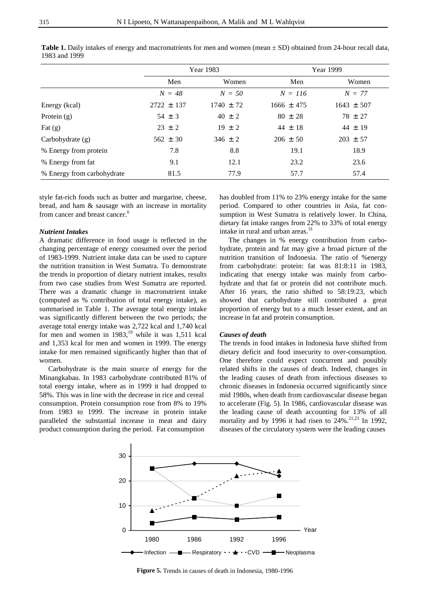|                            | Year 1983      |               | Year 1999      |                |
|----------------------------|----------------|---------------|----------------|----------------|
|                            | Men            | Women         | Men            | Women          |
|                            | $N = 48$       | $N = 50$      | $N = 116$      | $N = 77$       |
| Energy (kcal)              | $2722 \pm 137$ | $1740 \pm 72$ | $1666 \pm 475$ | $1643 \pm 507$ |
| Protein $(g)$              | $54 \pm 3$     | $40 \pm 2$    | $80 \pm 28$    | $78 \pm 27$    |
| Fat $(g)$                  | $23 \pm 2$     | $19 \pm 2$    | $44 \pm 18$    | $44 \pm 19$    |
| Carbohydrate (g)           | $562 \pm 30$   | $346 \pm 2$   | $206 \pm 50$   | $203 \pm 57$   |
| % Energy from protein      | 7.8            | 8.8           | 19.1           | 18.9           |
| % Energy from fat          | 9.1            | 12.1          | 23.2           | 23.6           |
| % Energy from carbohydrate | 81.5           | 77.9          | 57.7           | 57.4           |

**Table 1.** Daily intakes of energy and macronutrients for men and women (mean ± SD) obtained from 24-hour recall data, 1983 and 1999

style fat-rich foods such as butter and margarine, cheese, bread, and ham & sausage with an increase in mortality from cancer and breast cancer.<sup>6</sup>

# *Nutrient Intakes*

A dramatic difference in food usage is reflected in the changing percentage of energy consumed over the period of 1983-1999. Nutrient intake data can be used to capture the nutrition transition in West Sumatra. To demonstrate the trends in proportion of dietary nutrient intakes, results from two case studies from West Sumatra are reported. There was a dramatic change in macronutrient intake (computed as % contribution of total energy intake), as summarised in Table 1. The average total energy intake was significantly different between the two periods; the average total energy intake was 2,722 kcal and 1,740 kcal for men and women in  $1983$ ,<sup>19</sup> while it was 1,511 kcal and 1,353 kcal for men and women in 1999. The energy intake for men remained significantly higher than that of women.

 Carbohydrate is the main source of energy for the Minangkabau. In 1983 carbohydrate contributed 81% of total energy intake, where as in 1999 it had dropped to 58%. This was in line with the decrease in rice and cereal consumption. Protein consumption rose from 8% to 19% from 1983 to 1999. The increase in protein intake paralleled the substantial increase in meat and dairy product consumption during the period. Fat consumption

has doubled from 11% to 23% energy intake for the same period. Compared to other countries in Asia, fat consumption in West Sumatra is relatively lower. In China, dietary fat intake ranges from 22% to 33% of total energy intake in rural and urban areas.<sup>31</sup>

 The changes in % energy contribution from carbohydrate, protein and fat may give a broad picture of the nutrition transition of Indonesia. The ratio of %energy from carbohydrate: protein: fat was 81:8:11 in 1983, indicating that energy intake was mainly from carbohydrate and that fat or protein did not contribute much. After 16 years, the ratio shifted to 58:19:23, which showed that carbohydrate still contributed a great proportion of energy but to a much lesser extent, and an increase in fat and protein consumption.

# *Causes of death*

The trends in food intakes in Indonesia have shifted from dietary deficit and food insecurity to over-consumption. One therefore could expect concurrent and possibly related shifts in the causes of death. Indeed, changes in the leading causes of death from infectious diseases to chronic diseases in Indonesia occurred significantly since mid 1980s, when death from cardiovascular disease began to accelerate (Fig. 5). In 1986, cardiovascular disease was the leading cause of death accounting for 13% of all mortality and by 1996 it had risen to  $24\%$ .<sup>21,23</sup> In 1992, diseases of the circulatory system were the leading causes



 **Figure 5.** Trends in causes of death in Indonesia, 1980-1996